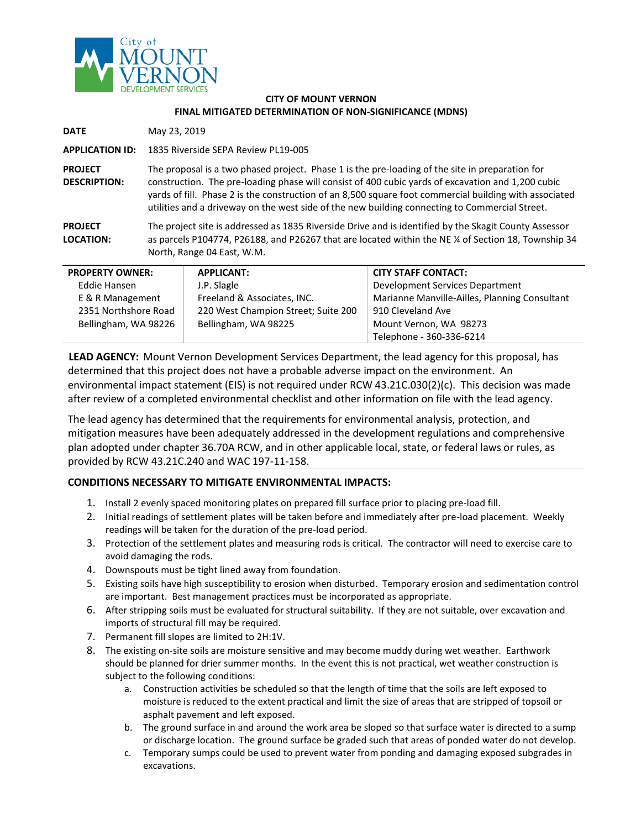

## **CITY OF MOUNT VERNON FINAL MITIGATED DETERMINATION OF NON-SIGNIFICANCE (MDNS)**

**DATE** May 23, 2019

**APPLICATION ID:** 1835 Riverside SEPA Review PL19-005

**PROJECT DESCRIPTION:** The proposal is a two phased project. Phase 1 is the pre-loading of the site in preparation for construction. The pre-loading phase will consist of 400 cubic yards of excavation and 1,200 cubic yards of fill. Phase 2 is the construction of an 8,500 square foot commercial building with associated utilities and a driveway on the west side of the new building connecting to Commercial Street.

**PROJECT LOCATION:** The project site is addressed as 1835 Riverside Drive and is identified by the Skagit County Assessor as parcels P104774, P26188, and P26267 that are located within the NE ¼ of Section 18, Township 34 North, Range 04 East, W.M.

| <b>PROPERTY OWNER:</b> | <b>APPLICANT:</b>                   | <b>CITY STAFF CONTACT:</b>                    |
|------------------------|-------------------------------------|-----------------------------------------------|
| Eddie Hansen           | J.P. Slagle                         | Development Services Department               |
| E & R Management       | Freeland & Associates, INC.         | Marianne Manville-Ailles, Planning Consultant |
| 2351 Northshore Road   | 220 West Champion Street; Suite 200 | 910 Cleveland Ave                             |
| Bellingham, WA 98226   | Bellingham, WA 98225                | Mount Vernon, WA 98273                        |
|                        |                                     | Telephone - 360-336-6214                      |

**LEAD AGENCY:** Mount Vernon Development Services Department, the lead agency for this proposal, has determined that this project does not have a probable adverse impact on the environment. An environmental impact statement (EIS) is not required under RCW 43.21C.030(2)(c). This decision was made after review of a completed environmental checklist and other information on file with the lead agency.

The lead agency has determined that the requirements for environmental analysis, protection, and mitigation measures have been adequately addressed in the development regulations and comprehensive plan adopted under chapter 36.70A RCW, and in other applicable local, state, or federal laws or rules, as provided by RCW 43.21C.240 and WAC 197-11-158.

## **CONDITIONS NECESSARY TO MITIGATE ENVIRONMENTAL IMPACTS:**

- 1. Install 2 evenly spaced monitoring plates on prepared fill surface prior to placing pre-load fill.
- 2. Initial readings of settlement plates will be taken before and immediately after pre-load placement. Weekly readings will be taken for the duration of the pre-load period.
- 3. Protection of the settlement plates and measuring rods is critical. The contractor will need to exercise care to avoid damaging the rods.
- 4. Downspouts must be tight lined away from foundation.
- 5. Existing soils have high susceptibility to erosion when disturbed. Temporary erosion and sedimentation control are important. Best management practices must be incorporated as appropriate.
- 6. After stripping soils must be evaluated for structural suitability. If they are not suitable, over excavation and imports of structural fill may be required.
- 7. Permanent fill slopes are limited to 2H:1V.
- 8. The existing on-site soils are moisture sensitive and may become muddy during wet weather. Earthwork should be planned for drier summer months. In the event this is not practical, wet weather construction is subject to the following conditions:
	- a. Construction activities be scheduled so that the length of time that the soils are left exposed to moisture is reduced to the extent practical and limit the size of areas that are stripped of topsoil or asphalt pavement and left exposed.
	- b. The ground surface in and around the work area be sloped so that surface water is directed to a sump or discharge location. The ground surface be graded such that areas of ponded water do not develop.
	- c. Temporary sumps could be used to prevent water from ponding and damaging exposed subgrades in excavations.